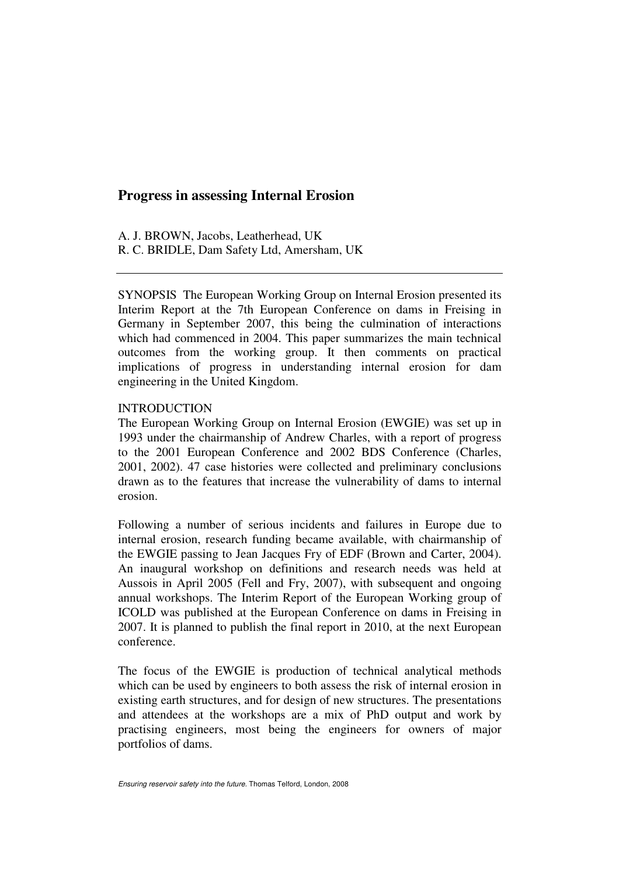# **Progress in assessing Internal Erosion**

A. J. BROWN, Jacobs, Leatherhead, UK R. C. BRIDLE, Dam Safety Ltd, Amersham, UK

SYNOPSIS The European Working Group on Internal Erosion presented its Interim Report at the 7th European Conference on dams in Freising in Germany in September 2007, this being the culmination of interactions which had commenced in 2004. This paper summarizes the main technical outcomes from the working group. It then comments on practical implications of progress in understanding internal erosion for dam engineering in the United Kingdom.

## **INTRODUCTION**

The European Working Group on Internal Erosion (EWGIE) was set up in 1993 under the chairmanship of Andrew Charles, with a report of progress to the 2001 European Conference and 2002 BDS Conference (Charles, 2001, 2002). 47 case histories were collected and preliminary conclusions drawn as to the features that increase the vulnerability of dams to internal erosion.

Following a number of serious incidents and failures in Europe due to internal erosion, research funding became available, with chairmanship of the EWGIE passing to Jean Jacques Fry of EDF (Brown and Carter, 2004). An inaugural workshop on definitions and research needs was held at Aussois in April 2005 (Fell and Fry, 2007), with subsequent and ongoing annual workshops. The Interim Report of the European Working group of ICOLD was published at the European Conference on dams in Freising in 2007. It is planned to publish the final report in 2010, at the next European conference.

The focus of the EWGIE is production of technical analytical methods which can be used by engineers to both assess the risk of internal erosion in existing earth structures, and for design of new structures. The presentations and attendees at the workshops are a mix of PhD output and work by practising engineers, most being the engineers for owners of major portfolios of dams.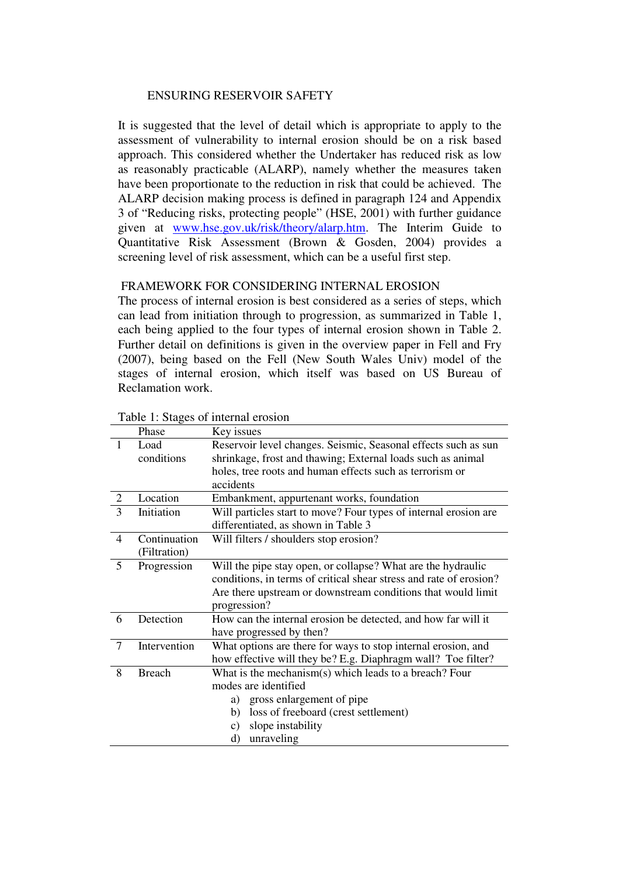It is suggested that the level of detail which is appropriate to apply to the assessment of vulnerability to internal erosion should be on a risk based approach. This considered whether the Undertaker has reduced risk as low as reasonably practicable (ALARP), namely whether the measures taken have been proportionate to the reduction in risk that could be achieved. The ALARP decision making process is defined in paragraph 124 and Appendix 3 of "Reducing risks, protecting people" (HSE, 2001) with further guidance given at www.hse.gov.uk/risk/theory/alarp.htm. The Interim Guide to Quantitative Risk Assessment (Brown & Gosden, 2004) provides a screening level of risk assessment, which can be a useful first step.

# FRAMEWORK FOR CONSIDERING INTERNAL EROSION

The process of internal erosion is best considered as a series of steps, which can lead from initiation through to progression, as summarized in Table 1, each being applied to the four types of internal erosion shown in Table 2. Further detail on definitions is given in the overview paper in Fell and Fry (2007), being based on the Fell (New South Wales Univ) model of the stages of internal erosion, which itself was based on US Bureau of Reclamation work.

|                | Phase         | Key issues                                                         |  |  |  |  |
|----------------|---------------|--------------------------------------------------------------------|--|--|--|--|
| 1              | Load          | Reservoir level changes. Seismic, Seasonal effects such as sun     |  |  |  |  |
|                | conditions    | shrinkage, frost and thawing; External loads such as animal        |  |  |  |  |
|                |               | holes, tree roots and human effects such as terrorism or           |  |  |  |  |
|                |               | accidents                                                          |  |  |  |  |
| $\overline{2}$ | Location      | Embankment, appurtenant works, foundation                          |  |  |  |  |
| 3              | Initiation    | Will particles start to move? Four types of internal erosion are   |  |  |  |  |
|                |               | differentiated, as shown in Table 3                                |  |  |  |  |
| $\overline{4}$ | Continuation  | Will filters / shoulders stop erosion?                             |  |  |  |  |
|                | (Filtration)  |                                                                    |  |  |  |  |
| 5              | Progression   | Will the pipe stay open, or collapse? What are the hydraulic       |  |  |  |  |
|                |               | conditions, in terms of critical shear stress and rate of erosion? |  |  |  |  |
|                |               | Are there upstream or downstream conditions that would limit       |  |  |  |  |
|                |               | progression?                                                       |  |  |  |  |
| 6              | Detection     | How can the internal erosion be detected, and how far will it      |  |  |  |  |
|                |               | have progressed by then?                                           |  |  |  |  |
| $\tau$         | Intervention  | What options are there for ways to stop internal erosion, and      |  |  |  |  |
|                |               | how effective will they be? E.g. Diaphragm wall? Toe filter?       |  |  |  |  |
| 8              | <b>Breach</b> | What is the mechanism(s) which leads to a breach? Four             |  |  |  |  |
|                |               | modes are identified                                               |  |  |  |  |
|                |               | gross enlargement of pipe<br>a)                                    |  |  |  |  |
|                |               | loss of freeboard (crest settlement)<br>b)                         |  |  |  |  |
|                |               | slope instability<br>$\mathbf{c})$                                 |  |  |  |  |
|                |               | unraveling<br>d)                                                   |  |  |  |  |

#### Table 1: Stages of internal erosion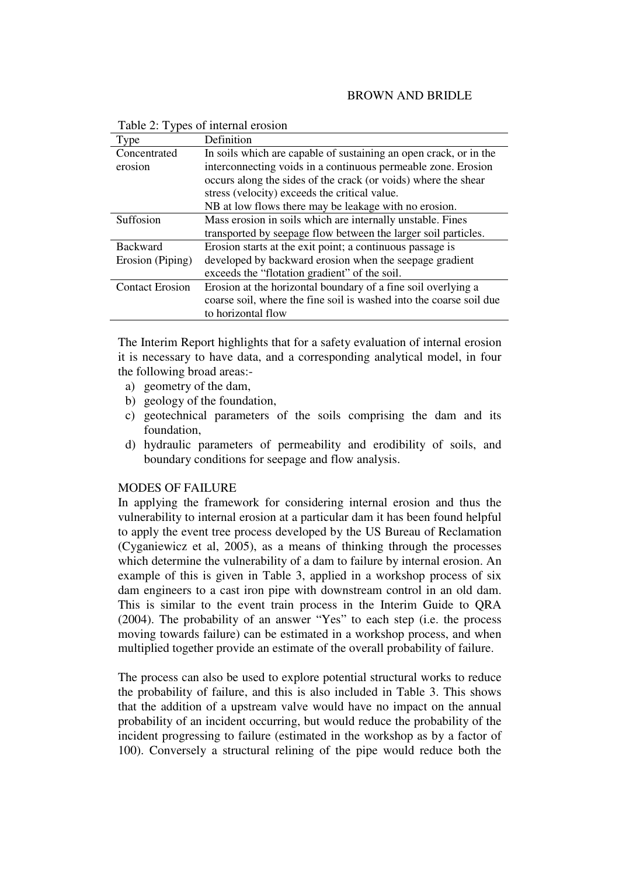### BROWN AND BRIDLE

| Type                   | Definition                                                          |  |
|------------------------|---------------------------------------------------------------------|--|
| Concentrated           | In soils which are capable of sustaining an open crack, or in the   |  |
| erosion                | interconnecting voids in a continuous permeable zone. Erosion       |  |
|                        | occurs along the sides of the crack (or voids) where the shear      |  |
|                        | stress (velocity) exceeds the critical value.                       |  |
|                        | NB at low flows there may be leakage with no erosion.               |  |
| Suffosion              | Mass erosion in soils which are internally unstable. Fines          |  |
|                        | transported by seepage flow between the larger soil particles.      |  |
| <b>Backward</b>        | Erosion starts at the exit point; a continuous passage is           |  |
| Erosion (Piping)       | developed by backward erosion when the seepage gradient             |  |
|                        | exceeds the "flotation gradient" of the soil.                       |  |
| <b>Contact Erosion</b> | Erosion at the horizontal boundary of a fine soil overlying a       |  |
|                        | coarse soil, where the fine soil is washed into the coarse soil due |  |
|                        | to horizontal flow                                                  |  |

Table 2: Types of internal erosion

The Interim Report highlights that for a safety evaluation of internal erosion it is necessary to have data, and a corresponding analytical model, in four the following broad areas:-

- a) geometry of the dam,
- b) geology of the foundation,
- c) geotechnical parameters of the soils comprising the dam and its foundation,
- d) hydraulic parameters of permeability and erodibility of soils, and boundary conditions for seepage and flow analysis.

# MODES OF FAILURE

In applying the framework for considering internal erosion and thus the vulnerability to internal erosion at a particular dam it has been found helpful to apply the event tree process developed by the US Bureau of Reclamation (Cyganiewicz et al, 2005), as a means of thinking through the processes which determine the vulnerability of a dam to failure by internal erosion. An example of this is given in Table 3, applied in a workshop process of six dam engineers to a cast iron pipe with downstream control in an old dam. This is similar to the event train process in the Interim Guide to QRA (2004). The probability of an answer "Yes" to each step (i.e. the process moving towards failure) can be estimated in a workshop process, and when multiplied together provide an estimate of the overall probability of failure.

The process can also be used to explore potential structural works to reduce the probability of failure, and this is also included in Table 3. This shows that the addition of a upstream valve would have no impact on the annual probability of an incident occurring, but would reduce the probability of the incident progressing to failure (estimated in the workshop as by a factor of 100). Conversely a structural relining of the pipe would reduce both the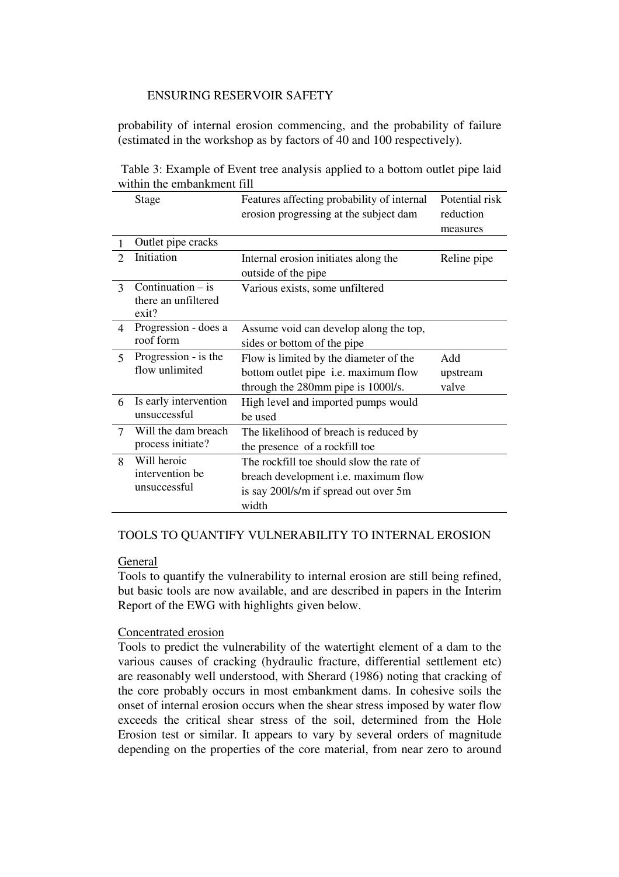probability of internal erosion commencing, and the probability of failure (estimated in the workshop as by factors of 40 and 100 respectively).

 Table 3: Example of Event tree analysis applied to a bottom outlet pipe laid within the embankment fill

|                         | Stage                          | Features affecting probability of internal  | Potential risk |
|-------------------------|--------------------------------|---------------------------------------------|----------------|
|                         |                                | erosion progressing at the subject dam      | reduction      |
|                         |                                |                                             | measures       |
|                         | Outlet pipe cracks             |                                             |                |
| $\mathcal{D}_{\cdot}$   | Initiation                     | Internal erosion initiates along the        | Reline pipe    |
|                         |                                | outside of the pipe                         |                |
| $\mathcal{F}$           | Continuation $-$ is            | Various exists, some unfiltered             |                |
|                         | there an unfiltered            |                                             |                |
|                         | exit?                          |                                             |                |
| 4                       | Progression - does a           | Assume void can develop along the top,      |                |
|                         | roof form                      | sides or bottom of the pipe                 |                |
| $\overline{\mathbf{5}}$ | Progression - is the           | Flow is limited by the diameter of the      | Add            |
|                         | flow unlimited                 | bottom outlet pipe <i>i.e.</i> maximum flow | upstream       |
|                         |                                | through the 280mm pipe is 1000l/s.          | valve          |
| 6                       | Is early intervention          | High level and imported pumps would         |                |
|                         | unsuccessful                   | be used                                     |                |
| $\tau$                  | Will the dam breach            | The likelihood of breach is reduced by      |                |
|                         | process initiate?              | the presence of a rockfill toe              |                |
| 8                       | Will heroic<br>intervention be | The rockfill toe should slow the rate of    |                |
|                         |                                | breach development <i>i.e.</i> maximum flow |                |
|                         | unsuccessful                   | is say 2001/s/m if spread out over 5m       |                |
|                         |                                | width                                       |                |

### TOOLS TO QUANTIFY VULNERABILITY TO INTERNAL EROSION

## General

Tools to quantify the vulnerability to internal erosion are still being refined, but basic tools are now available, and are described in papers in the Interim Report of the EWG with highlights given below.

### Concentrated erosion

Tools to predict the vulnerability of the watertight element of a dam to the various causes of cracking (hydraulic fracture, differential settlement etc) are reasonably well understood, with Sherard (1986) noting that cracking of the core probably occurs in most embankment dams. In cohesive soils the onset of internal erosion occurs when the shear stress imposed by water flow exceeds the critical shear stress of the soil, determined from the Hole Erosion test or similar. It appears to vary by several orders of magnitude depending on the properties of the core material, from near zero to around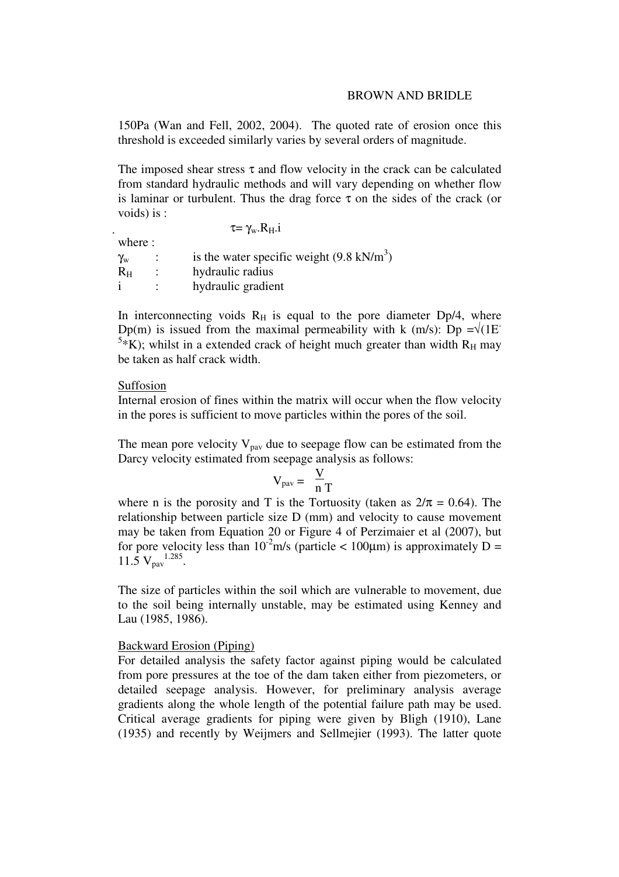### BROWN AND BRIDLE

150Pa (Wan and Fell, 2002, 2004). The quoted rate of erosion once this threshold is exceeded similarly varies by several orders of magnitude.

The imposed shear stress  $\tau$  and flow velocity in the crack can be calculated from standard hydraulic methods and will vary depending on whether flow is laminar or turbulent. Thus the drag force  $\tau$  on the sides of the crack (or voids) is :

|                       | $\tau = \gamma_{\rm w} R_{\rm H}$ .                 |
|-----------------------|-----------------------------------------------------|
| where :               |                                                     |
| $\gamma_{\mathrm{w}}$ | is the water specific weight $(9.8 \text{ kN/m}^3)$ |
| $R_{H}$               | hydraulic radius                                    |
|                       | hydraulic gradient                                  |

In interconnecting voids  $R_H$  is equal to the pore diameter Dp/4, where Dp(m) is issued from the maximal permeability with k (m/s): Dp = $\sqrt{(1E^{-1})}$ <sup>5\*</sup>K); whilst in a extended crack of height much greater than width  $R_H$  may be taken as half crack width.

#### Suffosion

Internal erosion of fines within the matrix will occur when the flow velocity in the pores is sufficient to move particles within the pores of the soil.

The mean pore velocity  $V_{\text{pav}}$  due to seepage flow can be estimated from the Darcy velocity estimated from seepage analysis as follows:

$$
V_{\text{pav}} = \frac{V}{nT}
$$

where n is the porosity and T is the Tortuosity (taken as  $2/\pi = 0.64$ ). The relationship between particle size D (mm) and velocity to cause movement may be taken from Equation 20 or Figure 4 of Perzimaier et al (2007), but for pore velocity less than  $10^{-2}$ m/s (particle < 100 $\mu$ m) is approximately D =  $11.5 \text{ V}_{\text{pav}}^{1.285}$ .

The size of particles within the soil which are vulnerable to movement, due to the soil being internally unstable, may be estimated using Kenney and Lau (1985, 1986).

## Backward Erosion (Piping)

For detailed analysis the safety factor against piping would be calculated from pore pressures at the toe of the dam taken either from piezometers, or detailed seepage analysis. However, for preliminary analysis average gradients along the whole length of the potential failure path may be used. Critical average gradients for piping were given by Bligh (1910), Lane (1935) and recently by Weijmers and Sellmejier (1993). The latter quote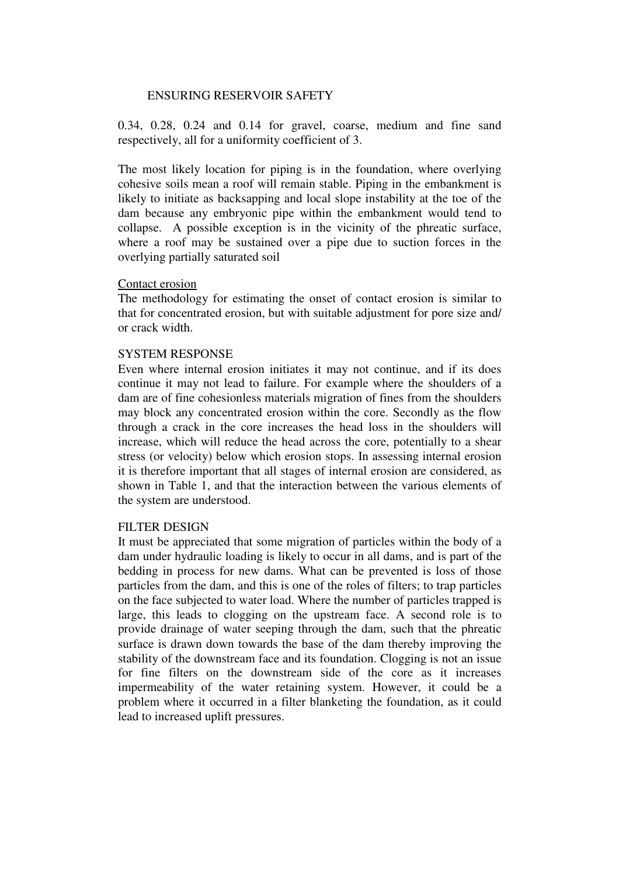0.34, 0.28, 0.24 and 0.14 for gravel, coarse, medium and fine sand respectively, all for a uniformity coefficient of 3.

The most likely location for piping is in the foundation, where overlying cohesive soils mean a roof will remain stable. Piping in the embankment is likely to initiate as backsapping and local slope instability at the toe of the dam because any embryonic pipe within the embankment would tend to collapse. A possible exception is in the vicinity of the phreatic surface, where a roof may be sustained over a pipe due to suction forces in the overlying partially saturated soil

#### Contact erosion

The methodology for estimating the onset of contact erosion is similar to that for concentrated erosion, but with suitable adjustment for pore size and/ or crack width.

#### SYSTEM RESPONSE

Even where internal erosion initiates it may not continue, and if its does continue it may not lead to failure. For example where the shoulders of a dam are of fine cohesionless materials migration of fines from the shoulders may block any concentrated erosion within the core. Secondly as the flow through a crack in the core increases the head loss in the shoulders will increase, which will reduce the head across the core, potentially to a shear stress (or velocity) below which erosion stops. In assessing internal erosion it is therefore important that all stages of internal erosion are considered, as shown in Table 1, and that the interaction between the various elements of the system are understood.

### FILTER DESIGN

It must be appreciated that some migration of particles within the body of a dam under hydraulic loading is likely to occur in all dams, and is part of the bedding in process for new dams. What can be prevented is loss of those particles from the dam, and this is one of the roles of filters; to trap particles on the face subjected to water load. Where the number of particles trapped is large, this leads to clogging on the upstream face. A second role is to provide drainage of water seeping through the dam, such that the phreatic surface is drawn down towards the base of the dam thereby improving the stability of the downstream face and its foundation. Clogging is not an issue for fine filters on the downstream side of the core as it increases impermeability of the water retaining system. However, it could be a problem where it occurred in a filter blanketing the foundation, as it could lead to increased uplift pressures.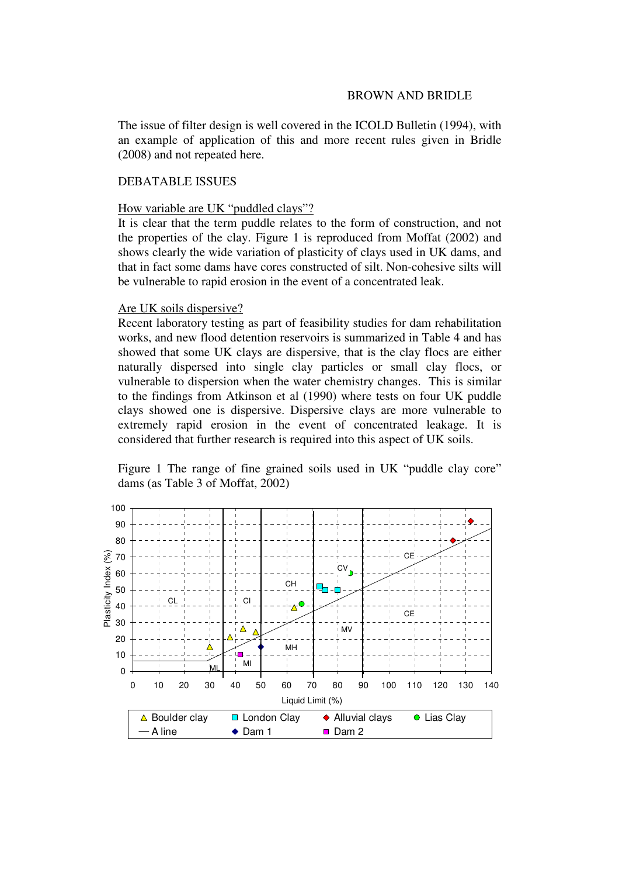The issue of filter design is well covered in the ICOLD Bulletin (1994), with an example of application of this and more recent rules given in Bridle (2008) and not repeated here.

## DEBATABLE ISSUES

#### How variable are UK "puddled clays"?

It is clear that the term puddle relates to the form of construction, and not the properties of the clay. Figure 1 is reproduced from Moffat (2002) and shows clearly the wide variation of plasticity of clays used in UK dams, and that in fact some dams have cores constructed of silt. Non-cohesive silts will be vulnerable to rapid erosion in the event of a concentrated leak.

### Are UK soils dispersive?

Recent laboratory testing as part of feasibility studies for dam rehabilitation works, and new flood detention reservoirs is summarized in Table 4 and has showed that some UK clays are dispersive, that is the clay flocs are either naturally dispersed into single clay particles or small clay flocs, or vulnerable to dispersion when the water chemistry changes. This is similar to the findings from Atkinson et al (1990) where tests on four UK puddle clays showed one is dispersive. Dispersive clays are more vulnerable to extremely rapid erosion in the event of concentrated leakage. It is considered that further research is required into this aspect of UK soils.

Figure 1 The range of fine grained soils used in UK "puddle clay core" dams (as Table 3 of Moffat, 2002)

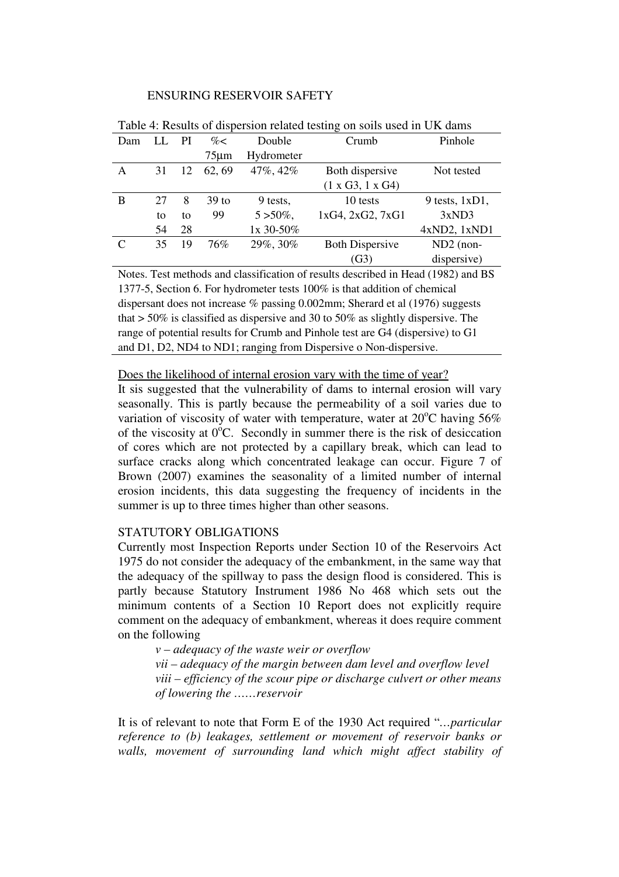| Dam |    | PI | $\% <$           | Double       | Crumb                  | Pinhole             |
|-----|----|----|------------------|--------------|------------------------|---------------------|
|     |    |    | $75 \mu m$       | Hydrometer   |                        |                     |
| A   | 31 | 12 | 62, 69           | 47%, 42%     | Both dispersive        | Not tested          |
|     |    |    |                  |              | (1 x G3, 1 x G4)       |                     |
| B   | 27 | 8  | 39 <sub>to</sub> | 9 tests,     | 10 tests               | $9$ tests, $1xD1$ , |
|     | to | to | 99               | $5 > 50\%$ , | 1xG4, 2xG2, 7xG1       | 3xND3               |
|     | 54 | 28 |                  | 1x 30-50%    |                        | 4xND2, 1xND1        |
| C   | 35 | 19 | 76%              | 29%, 30%     | <b>Both Dispersive</b> | $ND2$ (non-         |
|     |    |    |                  |              | (G3)                   | dispersive)         |

Table 4: Results of dispersion related testing on soils used in UK dams

Notes. Test methods and classification of results described in Head (1982) and BS 1377-5, Section 6. For hydrometer tests 100% is that addition of chemical dispersant does not increase % passing 0.002mm; Sherard et al (1976) suggests that > 50% is classified as dispersive and 30 to 50% as slightly dispersive. The range of potential results for Crumb and Pinhole test are G4 (dispersive) to G1 and D1, D2, ND4 to ND1; ranging from Dispersive o Non-dispersive.

Does the likelihood of internal erosion vary with the time of year?

It sis suggested that the vulnerability of dams to internal erosion will vary seasonally. This is partly because the permeability of a soil varies due to variation of viscosity of water with temperature, water at  $20^{\circ}$ C having 56% of the viscosity at  $0^{\circ}$ C. Secondly in summer there is the risk of desiccation of cores which are not protected by a capillary break, which can lead to surface cracks along which concentrated leakage can occur. Figure 7 of Brown (2007) examines the seasonality of a limited number of internal erosion incidents, this data suggesting the frequency of incidents in the summer is up to three times higher than other seasons.

# STATUTORY OBLIGATIONS

Currently most Inspection Reports under Section 10 of the Reservoirs Act 1975 do not consider the adequacy of the embankment, in the same way that the adequacy of the spillway to pass the design flood is considered. This is partly because Statutory Instrument 1986 No 468 which sets out the minimum contents of a Section 10 Report does not explicitly require comment on the adequacy of embankment, whereas it does require comment on the following

*v – adequacy of the waste weir or overflow vii – adequacy of the margin between dam level and overflow level viii – efficiency of the scour pipe or discharge culvert or other means of lowering the ……reservoir* 

It is of relevant to note that Form E of the 1930 Act required "*…particular reference to (b) leakages, settlement or movement of reservoir banks or walls, movement of surrounding land which might affect stability of*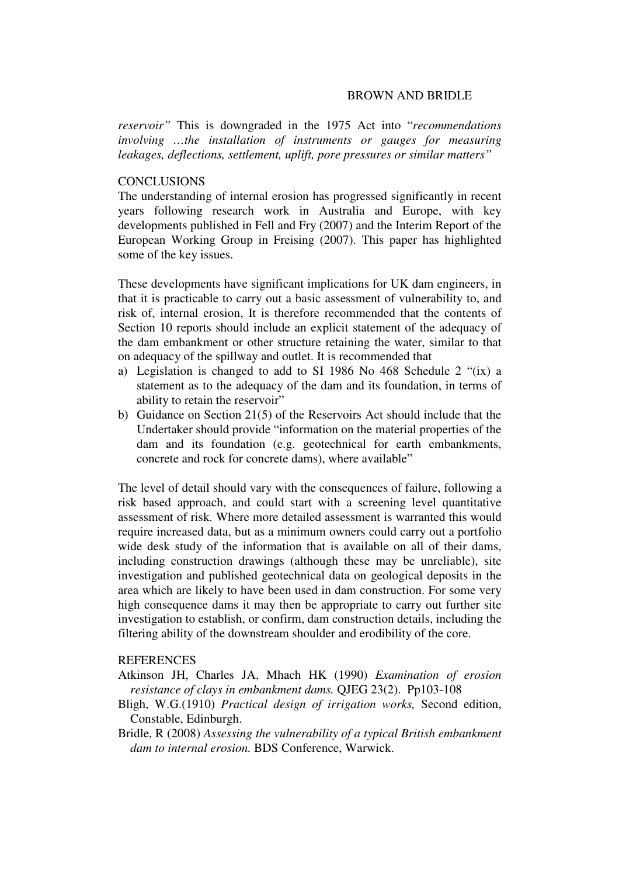#### BROWN AND BRIDLE

*reservoir"* This is downgraded in the 1975 Act into "*recommendations involving …the installation of instruments or gauges for measuring leakages, deflections, settlement, uplift, pore pressures or similar matters"*

## **CONCLUSIONS**

The understanding of internal erosion has progressed significantly in recent years following research work in Australia and Europe, with key developments published in Fell and Fry (2007) and the Interim Report of the European Working Group in Freising (2007). This paper has highlighted some of the key issues.

These developments have significant implications for UK dam engineers, in that it is practicable to carry out a basic assessment of vulnerability to, and risk of, internal erosion, It is therefore recommended that the contents of Section 10 reports should include an explicit statement of the adequacy of the dam embankment or other structure retaining the water, similar to that on adequacy of the spillway and outlet. It is recommended that

- a) Legislation is changed to add to SI 1986 No 468 Schedule 2 "(ix) a statement as to the adequacy of the dam and its foundation, in terms of ability to retain the reservoir"
- b) Guidance on Section 21(5) of the Reservoirs Act should include that the Undertaker should provide "information on the material properties of the dam and its foundation (e.g. geotechnical for earth embankments, concrete and rock for concrete dams), where available"

The level of detail should vary with the consequences of failure, following a risk based approach, and could start with a screening level quantitative assessment of risk. Where more detailed assessment is warranted this would require increased data, but as a minimum owners could carry out a portfolio wide desk study of the information that is available on all of their dams, including construction drawings (although these may be unreliable), site investigation and published geotechnical data on geological deposits in the area which are likely to have been used in dam construction. For some very high consequence dams it may then be appropriate to carry out further site investigation to establish, or confirm, dam construction details, including the filtering ability of the downstream shoulder and erodibility of the core.

### **REFERENCES**

- Atkinson JH, Charles JA, Mhach HK (1990) *Examination of erosion resistance of clays in embankment dams.* QJEG 23(2). Pp103-108
- Bligh, W.G.(1910) *Practical design of irrigation works,* Second edition, Constable, Edinburgh.
- Bridle, R (2008) *Assessing the vulnerability of a typical British embankment dam to internal erosion.* BDS Conference, Warwick.